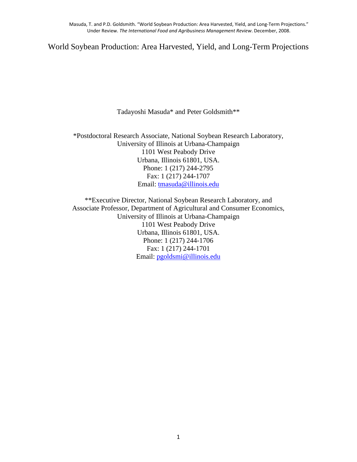World Soybean Production: Area Harvested, Yield, and Long-Term Projections

Tadayoshi Masuda\* and Peter Goldsmith\*\*

\*Postdoctoral Research Associate, National Soybean Research Laboratory, University of Illinois at Urbana-Champaign 1101 West Peabody Drive Urbana, Illinois 61801, USA. Phone: 1 (217) 244-2795 Fax: 1 (217) 244-1707 Email: tmasuda@illinois.edu

\*\*Executive Director, National Soybean Research Laboratory, and Associate Professor, Department of Agricultural and Consumer Economics, University of Illinois at Urbana-Champaign 1101 West Peabody Drive Urbana, Illinois 61801, USA. Phone: 1 (217) 244-1706 Fax: 1 (217) 244-1701 Email: pgoldsmi@illinois.edu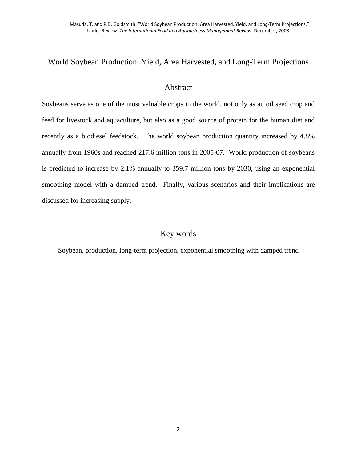# World Soybean Production: Yield, Area Harvested, and Long-Term Projections

# Abstract

Soybeans serve as one of the most valuable crops in the world, not only as an oil seed crop and feed for livestock and aquaculture, but also as a good source of protein for the human diet and recently as a biodiesel feedstock. The world soybean production quantity increased by 4.8% annually from 1960s and reached 217.6 million tons in 2005-07. World production of soybeans is predicted to increase by 2.1% annually to 359.7 million tons by 2030, using an exponential smoothing model with a damped trend. Finally, various scenarios and their implications are discussed for increasing supply.

# Key words

Soybean, production, long-term projection, exponential smoothing with damped trend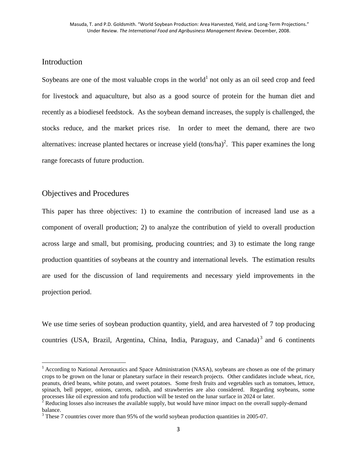# Introduction

Soybeans are one of the most valuable crops in the world<sup>1</sup> not only as an oil seed crop and feed for livestock and aquaculture, but also as a good source of protein for the human diet and recently as a biodiesel feedstock. As the soybean demand increases, the supply is challenged, the stocks reduce, and the market prices rise. In order to meet the demand, there are two alternatives: increase planted hectares or increase yield  $\text{(tons/ha)}^2$ . This paper examines the long range forecasts of future production.

# Objectives and Procedures

<u>.</u>

This paper has three objectives: 1) to examine the contribution of increased land use as a component of overall production; 2) to analyze the contribution of yield to overall production across large and small, but promising, producing countries; and 3) to estimate the long range production quantities of soybeans at the country and international levels. The estimation results are used for the discussion of land requirements and necessary yield improvements in the projection period.

We use time series of soybean production quantity, yield, and area harvested of 7 top producing countries (USA, Brazil, Argentina, China, India, Paraguay, and Canada)<sup>3</sup> and 6 continents

<sup>&</sup>lt;sup>1</sup> According to National Aeronautics and Space Administration (NASA), soybeans are chosen as one of the primary crops to be grown on the lunar or planetary surface in their research projects. Other candidates include wheat, rice, peanuts, dried beans, white potato, and sweet potatoes. Some fresh fruits and vegetables such as tomatoes, lettuce, spinach, bell pepper, onions, carrots, radish, and strawberries are also considered. Regarding soybeans, some processes like oil expression and tofu production will be tested on the lunar surface in 2024 or later.

 $2^2$  Reducing losses also increases the available supply, but would have minor impact on the overall supply-demand balance.

 $3$  These 7 countries cover more than 95% of the world soybean production quantities in 2005-07.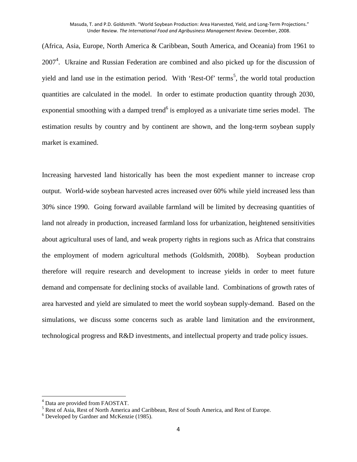(Africa, Asia, Europe, North America & Caribbean, South America, and Oceania) from 1961 to 2007<sup>4</sup>. Ukraine and Russian Federation are combined and also picked up for the discussion of yield and land use in the estimation period. With 'Rest-Of' terms<sup>5</sup>, the world total production quantities are calculated in the model. In order to estimate production quantity through 2030, exponential smoothing with a damped trend<sup>6</sup> is employed as a univariate time series model. The estimation results by country and by continent are shown, and the long-term soybean supply market is examined.

Increasing harvested land historically has been the most expedient manner to increase crop output. World-wide soybean harvested acres increased over 60% while yield increased less than 30% since 1990. Going forward available farmland will be limited by decreasing quantities of land not already in production, increased farmland loss for urbanization, heightened sensitivities about agricultural uses of land, and weak property rights in regions such as Africa that constrains the employment of modern agricultural methods (Goldsmith, 2008b). Soybean production therefore will require research and development to increase yields in order to meet future demand and compensate for declining stocks of available land. Combinations of growth rates of area harvested and yield are simulated to meet the world soybean supply-demand. Based on the simulations, we discuss some concerns such as arable land limitation and the environment, technological progress and R&D investments, and intellectual property and trade policy issues.

<u>.</u>

<sup>&</sup>lt;sup>4</sup> Data are provided from FAOSTAT.

<sup>&</sup>lt;sup>5</sup> Rest of Asia, Rest of North America and Caribbean, Rest of South America, and Rest of Europe.

<sup>6</sup> Developed by Gardner and McKenzie (1985).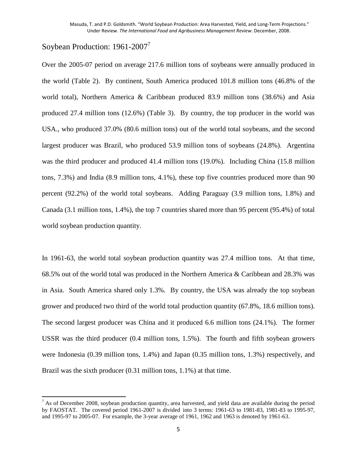# Soybean Production: 1961-2007<sup>7</sup>

<u>.</u>

Over the 2005-07 period on average 217.6 million tons of soybeans were annually produced in the world (Table 2). By continent, South America produced 101.8 million tons (46.8% of the world total), Northern America & Caribbean produced 83.9 million tons (38.6%) and Asia produced 27.4 million tons (12.6%) (Table 3). By country, the top producer in the world was USA., who produced 37.0% (80.6 million tons) out of the world total soybeans, and the second largest producer was Brazil, who produced 53.9 million tons of soybeans (24.8%). Argentina was the third producer and produced 41.4 million tons (19.0%). Including China (15.8 million tons, 7.3%) and India (8.9 million tons, 4.1%), these top five countries produced more than 90 percent (92.2%) of the world total soybeans. Adding Paraguay (3.9 million tons, 1.8%) and Canada (3.1 million tons, 1.4%), the top 7 countries shared more than 95 percent (95.4%) of total world soybean production quantity.

In 1961-63, the world total soybean production quantity was 27.4 million tons. At that time, 68.5% out of the world total was produced in the Northern America & Caribbean and 28.3% was in Asia. South America shared only 1.3%. By country, the USA was already the top soybean grower and produced two third of the world total production quantity (67.8%, 18.6 million tons). The second largest producer was China and it produced 6.6 million tons (24.1%). The former USSR was the third producer (0.4 million tons, 1.5%). The fourth and fifth soybean growers were Indonesia (0.39 million tons, 1.4%) and Japan (0.35 million tons, 1.3%) respectively, and Brazil was the sixth producer (0.31 million tons, 1.1%) at that time.

 $<sup>7</sup>$  As of December 2008, soybean production quantity, area harvested, and yield data are available during the period</sup> by FAOSTAT. The covered period 1961-2007 is divided into 3 terms: 1961-63 to 1981-83, 1981-83 to 1995-97, and 1995-97 to 2005-07. For example, the 3-year average of 1961, 1962 and 1963 is denoted by 1961-63.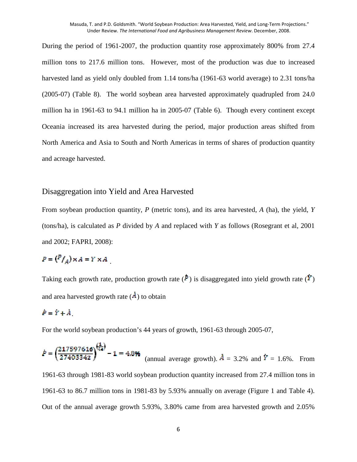During the period of 1961-2007, the production quantity rose approximately 800% from 27.4 million tons to 217.6 million tons. However, most of the production was due to increased harvested land as yield only doubled from 1.14 tons/ha (1961-63 world average) to 2.31 tons/ha (2005-07) (Table 8). The world soybean area harvested approximately quadrupled from 24.0 million ha in 1961-63 to 94.1 million ha in 2005-07 (Table 6). Though every continent except Oceania increased its area harvested during the period, major production areas shifted from North America and Asia to South and North Americas in terms of shares of production quantity and acreage harvested.

#### Disaggregation into Yield and Area Harvested

From soybean production quantity, *P* (metric tons), and its area harvested, *A* (ha), the yield, *Y* (tons/ha), is calculated as *P* divided by *A* and replaced with *Y* as follows (Rosegrant et al, 2001 and 2002; FAPRI, 2008):

# $P = {P/\choose A} \times A = Y \times A$

Taking each growth rate, production growth rate  $(\dot{P})$  is disaggregated into yield growth rate  $(\dot{Y})$ and area harvested growth rate  $(A)$  to obtain

# $P = \dot{Y} + \dot{A}$

For the world soybean production's 44 years of growth, 1961-63 through 2005-07,

$$
\dot{P} = \left(\frac{217597616}{27403342}\right)^{\frac{1}{44}} - 1 = 4.8\%
$$
 (annual average growth).  $\dot{A} = 3.2\%$  and  $\dot{Y} = 1.6\%$ . From 1961-63 through 1981-83 world soybean production quantity increased from 27.4 million tons in 1961-63 to 86.7 million tons in 1981-83 by 5.93% annually on average (Figure 1 and Table 4).

Out of the annual average growth 5.93%, 3.80% came from area harvested growth and 2.05%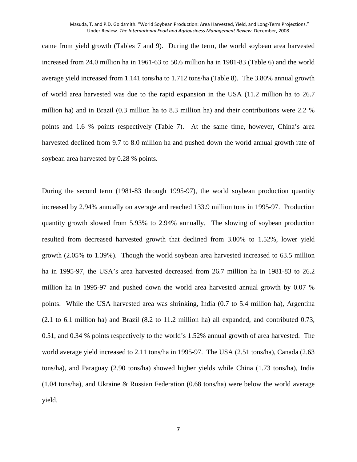came from yield growth (Tables 7 and 9). During the term, the world soybean area harvested increased from 24.0 million ha in 1961-63 to 50.6 million ha in 1981-83 (Table 6) and the world average yield increased from 1.141 tons/ha to 1.712 tons/ha (Table 8). The 3.80% annual growth of world area harvested was due to the rapid expansion in the USA (11.2 million ha to 26.7 million ha) and in Brazil (0.3 million ha to 8.3 million ha) and their contributions were 2.2 % points and 1.6 % points respectively (Table 7). At the same time, however, China's area harvested declined from 9.7 to 8.0 million ha and pushed down the world annual growth rate of soybean area harvested by 0.28 % points.

During the second term (1981-83 through 1995-97), the world soybean production quantity increased by 2.94% annually on average and reached 133.9 million tons in 1995-97. Production quantity growth slowed from 5.93% to 2.94% annually. The slowing of soybean production resulted from decreased harvested growth that declined from 3.80% to 1.52%, lower yield growth (2.05% to 1.39%). Though the world soybean area harvested increased to 63.5 million ha in 1995-97, the USA's area harvested decreased from 26.7 million ha in 1981-83 to 26.2 million ha in 1995-97 and pushed down the world area harvested annual growth by 0.07 % points. While the USA harvested area was shrinking, India (0.7 to 5.4 million ha), Argentina (2.1 to 6.1 million ha) and Brazil (8.2 to 11.2 million ha) all expanded, and contributed 0.73, 0.51, and 0.34 % points respectively to the world's 1.52% annual growth of area harvested. The world average yield increased to 2.11 tons/ha in 1995-97. The USA (2.51 tons/ha), Canada (2.63 tons/ha), and Paraguay (2.90 tons/ha) showed higher yields while China (1.73 tons/ha), India (1.04 tons/ha), and Ukraine & Russian Federation (0.68 tons/ha) were below the world average yield.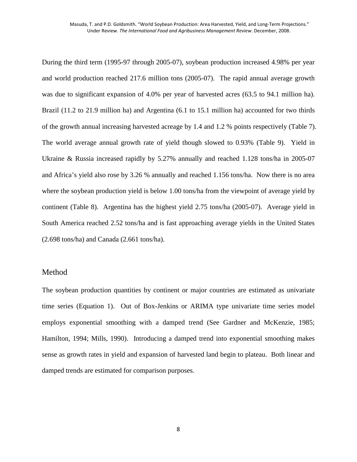During the third term (1995-97 through 2005-07), soybean production increased 4.98% per year and world production reached 217.6 million tons (2005-07). The rapid annual average growth was due to significant expansion of 4.0% per year of harvested acres (63.5 to 94.1 million ha). Brazil (11.2 to 21.9 million ha) and Argentina (6.1 to 15.1 million ha) accounted for two thirds of the growth annual increasing harvested acreage by 1.4 and 1.2 % points respectively (Table 7). The world average annual growth rate of yield though slowed to 0.93% (Table 9). Yield in Ukraine & Russia increased rapidly by 5.27% annually and reached 1.128 tons/ha in 2005-07 and Africa's yield also rose by 3.26 % annually and reached 1.156 tons/ha. Now there is no area where the soybean production yield is below 1.00 tons/ha from the viewpoint of average yield by continent (Table 8). Argentina has the highest yield 2.75 tons/ha (2005-07). Average yield in South America reached 2.52 tons/ha and is fast approaching average yields in the United States (2.698 tons/ha) and Canada (2.661 tons/ha).

#### Method

The soybean production quantities by continent or major countries are estimated as univariate time series (Equation 1). Out of Box-Jenkins or ARIMA type univariate time series model employs exponential smoothing with a damped trend (See Gardner and McKenzie, 1985; Hamilton, 1994; Mills, 1990). Introducing a damped trend into exponential smoothing makes sense as growth rates in yield and expansion of harvested land begin to plateau. Both linear and damped trends are estimated for comparison purposes.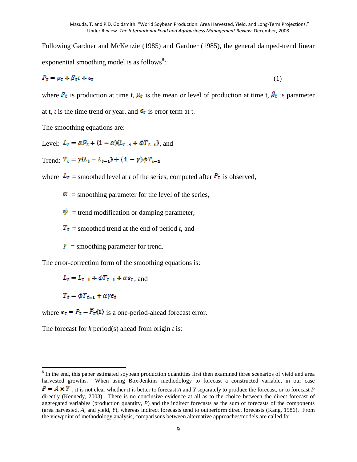Following Gardner and McKenzie (1985) and Gardner (1985), the general damped-trend linear exponential smoothing model is as follows $8$ :

$$
P_t = \mu_t + \beta_t t + \epsilon_t \tag{1}
$$

where  $P_t$  is production at time t,  $\mu_t$  is the mean or level of production at time t,  $\beta_t$  is parameter

at t, *t* is the time trend or year, and  $\epsilon_t$  is error term at t.

The smoothing equations are:

Level:  $L_t = \alpha P_t + (1 - \alpha)(L_{t-1} + \phi T_{t-1})$ , and

Trend:  $T_t = \gamma (L_t - L_{t-1}) + (1 - \gamma) \phi T_{t-1}$ 

where  $\mathbf{L}_t$  = smoothed level at *t* of the series, computed after  $P_t$  is observed,

 $\alpha$  = smoothing parameter for the level of the series,

 $\Phi$  = trend modification or damping parameter.

 $T_t$  = smoothed trend at the end of period *t*, and

 $\mathbf{Y}$  = smoothing parameter for trend.

The error-correction form of the smoothing equations is:

 $L_t = L_{t-1} + \phi T_{t-1} + \alpha e_t$ , and

 $T_t = \phi T_{t-1} + \alpha y e_t$ 

<u>.</u>

where  $\mathbf{e}_t = P_t - \mathbf{P}_t(\mathbf{1})$  is a one-period-ahead forecast error.

The forecast for *k* period(s) ahead from origin *t* is:

<sup>&</sup>lt;sup>8</sup> In the end, this paper estimated soybean production quantities first then examined three scenarios of yield and area harvested growths. When using Box-Jenkins methodology to forecast a constructed variable, in our case  $P = A \times Y$ , it is not clear whether it is better to forecast *A* and *Y* separately to produce the forecast, or to forecast *P* directly (Kennedy, 2003). There is no conclusive evidence at all as to the choice between the direct forecast of aggregated variables (production quantity, *P*) and the indirect forecasts as the sum of forecasts of the components (area harvested, *A*, and yield, *Y*), whereas indirect forecasts tend to outperform direct forecasts (Kang, 1986). From the viewpoint of methodology analysis, comparisons between alternative approaches/models are called for.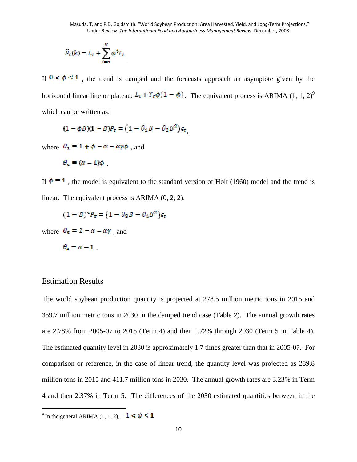$$
\hat{P}_t(k) = L_t + \sum_{i=1}^k \phi^i T_t
$$

If  $0 \le \phi \le 1$ , the trend is damped and the forecasts approach an asymptote given by the horizontal linear line or plateau:  $L_t + T_t \phi(1 - \phi)$ . The equivalent process is ARIMA (1, 1, 2)<sup>9</sup> which can be written as:

$$
(1 - \phi B)(1 - B)P_t = (1 - \theta_1 B - \theta_2 B^2)\epsilon_t
$$

where  $\theta_1 = 1 + \phi - \alpha - \alpha \gamma \phi$ , and

$$
\theta_2 = (\alpha - 1)\phi
$$

If  $\phi = 1$ , the model is equivalent to the standard version of Holt (1960) model and the trend is linear. The equivalent process is ARIMA (0, 2, 2):

$$
(1-B)^2 P_c = (1-\theta_3 B - \theta_4 B^2)\epsilon_c
$$

where  $\theta_{\rm s} = 2 - \alpha - \alpha \gamma$ , and

$$
\theta_{\bf A} = \alpha - {\bf 1}
$$

## Estimation Results

<u>.</u>

The world soybean production quantity is projected at 278.5 million metric tons in 2015 and 359.7 million metric tons in 2030 in the damped trend case (Table 2). The annual growth rates are 2.78% from 2005-07 to 2015 (Term 4) and then 1.72% through 2030 (Term 5 in Table 4). The estimated quantity level in 2030 is approximately 1.7 times greater than that in 2005-07. For comparison or reference, in the case of linear trend, the quantity level was projected as 289.8 million tons in 2015 and 411.7 million tons in 2030. The annual growth rates are 3.23% in Term 4 and then 2.37% in Term 5. The differences of the 2030 estimated quantities between in the

<sup>&</sup>lt;sup>9</sup> In the general ARIMA (1, 1, 2),  $-1 < \phi < 1$ .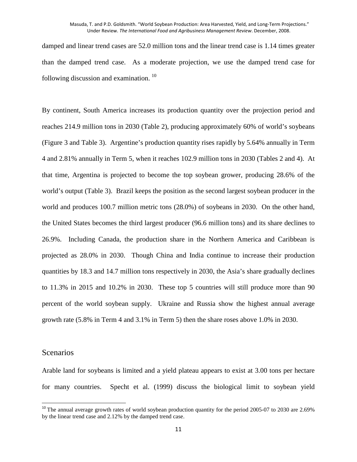damped and linear trend cases are 52.0 million tons and the linear trend case is 1.14 times greater than the damped trend case. As a moderate projection, we use the damped trend case for following discussion and examination.  $^{10}$ 

By continent, South America increases its production quantity over the projection period and reaches 214.9 million tons in 2030 (Table 2), producing approximately 60% of world's soybeans (Figure 3 and Table 3). Argentine's production quantity rises rapidly by 5.64% annually in Term 4 and 2.81% annually in Term 5, when it reaches 102.9 million tons in 2030 (Tables 2 and 4). At that time, Argentina is projected to become the top soybean grower, producing 28.6% of the world's output (Table 3). Brazil keeps the position as the second largest soybean producer in the world and produces 100.7 million metric tons (28.0%) of soybeans in 2030. On the other hand, the United States becomes the third largest producer (96.6 million tons) and its share declines to 26.9%. Including Canada, the production share in the Northern America and Caribbean is projected as 28.0% in 2030. Though China and India continue to increase their production quantities by 18.3 and 14.7 million tons respectively in 2030, the Asia's share gradually declines to 11.3% in 2015 and 10.2% in 2030. These top 5 countries will still produce more than 90 percent of the world soybean supply. Ukraine and Russia show the highest annual average growth rate (5.8% in Term 4 and 3.1% in Term 5) then the share roses above 1.0% in 2030.

## Scenarios

<u>.</u>

Arable land for soybeans is limited and a yield plateau appears to exist at 3.00 tons per hectare for many countries. Specht et al. (1999) discuss the biological limit to soybean yield

<sup>&</sup>lt;sup>10</sup> The annual average growth rates of world soybean production quantity for the period 2005-07 to 2030 are 2.69% by the linear trend case and 2.12% by the damped trend case.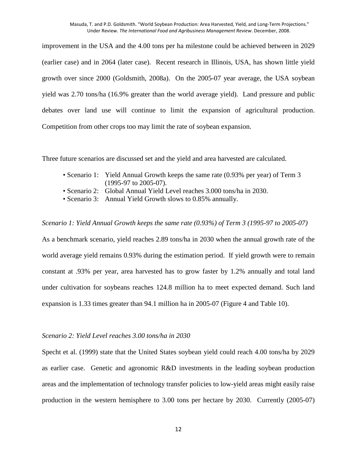improvement in the USA and the 4.00 tons per ha milestone could be achieved between in 2029 (earlier case) and in 2064 (later case). Recent research in Illinois, USA, has shown little yield growth over since 2000 (Goldsmith, 2008a). On the 2005-07 year average, the USA soybean yield was 2.70 tons/ha (16.9% greater than the world average yield). Land pressure and public debates over land use will continue to limit the expansion of agricultural production. Competition from other crops too may limit the rate of soybean expansion.

Three future scenarios are discussed set and the yield and area harvested are calculated.

- Scenario 1: Yield Annual Growth keeps the same rate (0.93% per year) of Term 3 (1995-97 to 2005-07).
- Scenario 2: Global Annual Yield Level reaches 3.000 tons/ha in 2030.
- Scenario 3: Annual Yield Growth slows to 0.85% annually.

#### *Scenario 1: Yield Annual Growth keeps the same rate (0.93%) of Term 3 (1995-97 to 2005-07)*

As a benchmark scenario, yield reaches 2.89 tons/ha in 2030 when the annual growth rate of the world average yield remains 0.93% during the estimation period. If yield growth were to remain constant at .93% per year, area harvested has to grow faster by 1.2% annually and total land under cultivation for soybeans reaches 124.8 million ha to meet expected demand. Such land expansion is 1.33 times greater than 94.1 million ha in 2005-07 (Figure 4 and Table 10).

#### *Scenario 2: Yield Level reaches 3.00 tons/ha in 2030*

Specht et al. (1999) state that the United States soybean yield could reach 4.00 tons/ha by 2029 as earlier case. Genetic and agronomic R&D investments in the leading soybean production areas and the implementation of technology transfer policies to low-yield areas might easily raise production in the western hemisphere to 3.00 tons per hectare by 2030. Currently (2005-07)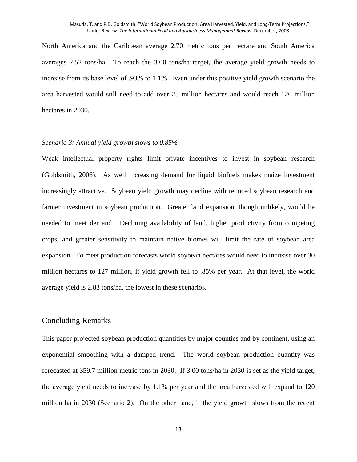North America and the Caribbean average 2.70 metric tons per hectare and South America averages 2.52 tons/ha. To reach the 3.00 tons/ha target, the average yield growth needs to increase from its base level of .93% to 1.1%. Even under this positive yield growth scenario the area harvested would still need to add over 25 million hectares and would reach 120 million hectares in 2030.

#### *Scenario 3: Annual yield growth slows to 0.85%*

Weak intellectual property rights limit private incentives to invest in soybean research (Goldsmith, 2006). As well increasing demand for liquid biofuels makes maize investment increasingly attractive. Soybean yield growth may decline with reduced soybean research and farmer investment in soybean production. Greater land expansion, though unlikely, would be needed to meet demand. Declining availability of land, higher productivity from competing crops, and greater sensitivity to maintain native biomes will limit the rate of soybean area expansion. To meet production forecasts world soybean hectares would need to increase over 30 million hectares to 127 million, if yield growth fell to .85% per year. At that level, the world average yield is 2.83 tons/ha, the lowest in these scenarios.

#### Concluding Remarks

This paper projected soybean production quantities by major counties and by continent, using an exponential smoothing with a damped trend. The world soybean production quantity was forecasted at 359.7 million metric tons in 2030. If 3.00 tons/ha in 2030 is set as the yield target, the average yield needs to increase by 1.1% per year and the area harvested will expand to 120 million ha in 2030 (Scenario 2). On the other hand, if the yield growth slows from the recent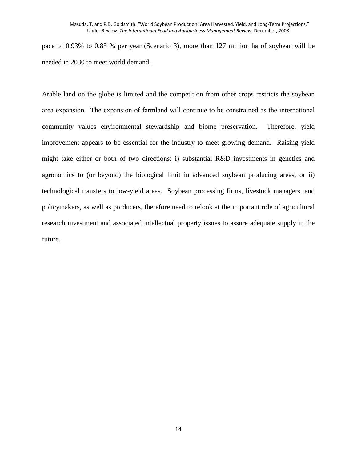pace of 0.93% to 0.85 % per year (Scenario 3), more than 127 million ha of soybean will be needed in 2030 to meet world demand.

Arable land on the globe is limited and the competition from other crops restricts the soybean area expansion. The expansion of farmland will continue to be constrained as the international community values environmental stewardship and biome preservation. Therefore, yield improvement appears to be essential for the industry to meet growing demand. Raising yield might take either or both of two directions: i) substantial R&D investments in genetics and agronomics to (or beyond) the biological limit in advanced soybean producing areas, or ii) technological transfers to low-yield areas. Soybean processing firms, livestock managers, and policymakers, as well as producers, therefore need to relook at the important role of agricultural research investment and associated intellectual property issues to assure adequate supply in the future.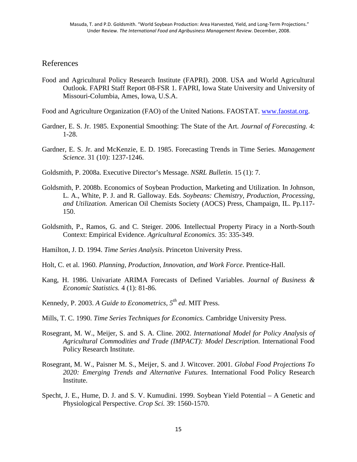# References

Food and Agricultural Policy Research Institute (FAPRI). 2008. USA and World Agricultural Outlook. FAPRI Staff Report 08-FSR 1. FAPRI, Iowa State University and University of Missouri-Columbia, Ames, Iowa, U.S.A.

Food and Agriculture Organization (FAO) of the United Nations. FAOSTAT. www.faostat.org.

- Gardner, E. S. Jr. 1985. Exponential Smoothing: The State of the Art. *Journal of Forecasting.* 4: 1-28.
- Gardner, E. S. Jr. and McKenzie, E. D. 1985. Forecasting Trends in Time Series. *Management Science*. 31 (10): 1237-1246.

Goldsmith, P. 2008a. Executive Director's Message. *NSRL Bulletin*. 15 (1): 7.

- Goldsmith, P. 2008b. Economics of Soybean Production, Marketing and Utilization. In Johnson, L. A., White, P. J. and R. Galloway. Eds. *Soybeans: Chemistry, Production, Processing, and Utilization.* American Oil Chemists Society (AOCS) Press, Champaign, IL. Pp.117- 150.
- Goldsmith, P., Ramos, G. and C. Steiger. 2006. Intellectual Property Piracy in a North-South Context: Empirical Evidence. *Agricultural Economics.* 35: 335-349.
- Hamilton, J. D. 1994. *Time Series Analysis*. Princeton University Press.
- Holt, C. et al. 1960. *Planning, Production, Innovation, and Work Force*. Prentice-Hall.
- Kang, H. 1986. Univariate ARIMA Forecasts of Defined Variables. *Journal of Business & Economic Statistics.* 4 (1): 81-86.
- Kennedy, P. 2003. *A Guide to Econometrics, 5th ed*. MIT Press.
- Mills, T. C. 1990. *Time Series Techniques for Economics.* Cambridge University Press.
- Rosegrant, M. W., Meijer, S. and S. A. Cline. 2002. *International Model for Policy Analysis of Agricultural Commodities and Trade (IMPACT): Model Description.* International Food Policy Research Institute.
- Rosegrant, M. W., Paisner M. S., Meijer, S. and J. Witcover. 2001. *Global Food Projections To 2020: Emerging Trends and Alternative Futures.* International Food Policy Research Institute.
- Specht, J. E., Hume, D. J. and S. V. Kumudini. 1999. Soybean Yield Potential A Genetic and Physiological Perspective. *Crop Sci.* 39: 1560-1570.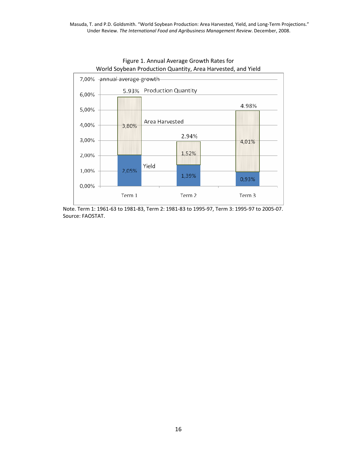

# Figure 1. Annual Average Growth Rates for

 Note. Term 1: 1961-63 to 1981-83, Term 2: 1981-83 to 1995-97, Term 3: 1995-97 to 2005-07. Source: FAOSTAT.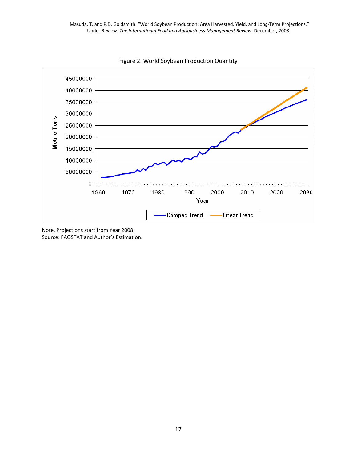

Figure 2. World Soybean Production Quantity

Note. Projections start from Year 2008. Source: FAOSTAT and Author's Estimation.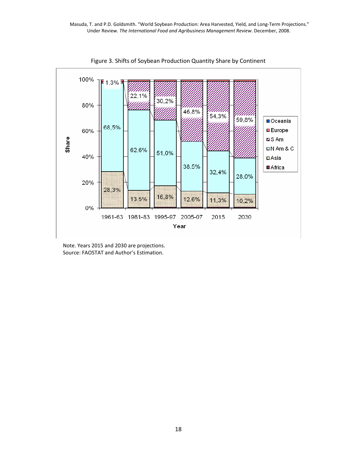

Figure 3. Shifts of Soybean Production Quantity Share by Continent

 Note. Years 2015 and 2030 are projections. Source: FAOSTAT and Author's Estimation.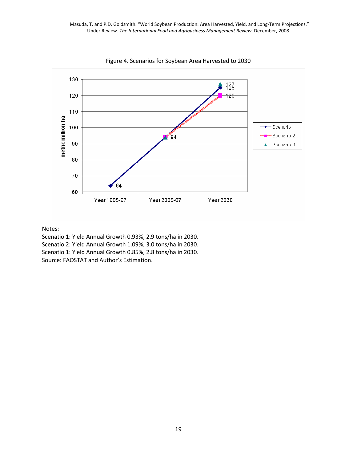

Figure 4. Scenarios for Soybean Area Harvested to 2030

#### Notes:

Scenatio 1: Yield Annual Growth 0.93%, 2.9 tons/ha in 2030. Scenatio 2: Yield Annual Growth 1.09%, 3.0 tons/ha in 2030. Scenatio 1: Yield Annual Growth 0.85%, 2.8 tons/ha in 2030. Source: FAOSTAT and Author's Estimation.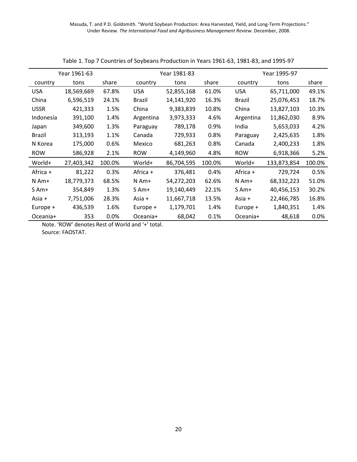|             | Year 1961-63 |         |            | Year 1981-83 |        |               | Year 1995-97 |         |
|-------------|--------------|---------|------------|--------------|--------|---------------|--------------|---------|
| country     | tons         | share   | country    | tons         | share  | country       | tons         | share   |
| <b>USA</b>  | 18,569,669   | 67.8%   | <b>USA</b> | 52,855,168   | 61.0%  | <b>USA</b>    | 65,711,000   | 49.1%   |
| China       | 6,596,519    | 24.1%   | Brazil     | 14,141,920   | 16.3%  | <b>Brazil</b> | 25,076,453   | 18.7%   |
| <b>USSR</b> | 421,333      | 1.5%    | China      | 9,383,839    | 10.8%  | China         | 13,827,103   | 10.3%   |
| Indonesia   | 391,100      | 1.4%    | Argentina  | 3,973,333    | 4.6%   | Argentina     | 11,862,030   | 8.9%    |
| Japan       | 349,600      | 1.3%    | Paraguay   | 789,178      | 0.9%   | India         | 5,653,033    | 4.2%    |
| Brazil      | 313,193      | 1.1%    | Canada     | 729,933      | 0.8%   | Paraguay      | 2,425,635    | 1.8%    |
| N Korea     | 175,000      | 0.6%    | Mexico     | 681,263      | 0.8%   | Canada        | 2,400,233    | 1.8%    |
| <b>ROW</b>  | 586,928      | 2.1%    | <b>ROW</b> | 4,149,960    | 4.8%   | <b>ROW</b>    | 6,918,366    | 5.2%    |
| World+      | 27,403,342   | 100.0%  | World+     | 86,704,595   | 100.0% | World+        | 133,873,854  | 100.0%  |
| Africa +    | 81,222       | 0.3%    | Africa +   | 376,481      | 0.4%   | Africa +      | 729,724      | 0.5%    |
| $N$ Am+     | 18,779,373   | 68.5%   | $N$ Am+    | 54,272,203   | 62.6%  | $N$ Am+       | 68,332,223   | 51.0%   |
| S Am+       | 354,849      | 1.3%    | S Am+      | 19,140,449   | 22.1%  | $S$ Am+       | 40,456,153   | 30.2%   |
| Asia +      | 7,751,006    | 28.3%   | Asia +     | 11,667,718   | 13.5%  | Asia +        | 22,466,785   | 16.8%   |
| Europe +    | 436,539      | 1.6%    | Europe +   | 1,179,701    | 1.4%   | Europe +      | 1,840,351    | 1.4%    |
| Oceania+    | 353          | $0.0\%$ | Oceania+   | 68,042       | 0.1%   | Oceania+      | 48,618       | $0.0\%$ |

Table 1. Top 7 Countries of Soybeans Production in Years 1961-63, 1981-83, and 1995-97

Note. 'ROW' denotes Rest of World and '+' total. Source: FAOSTAT.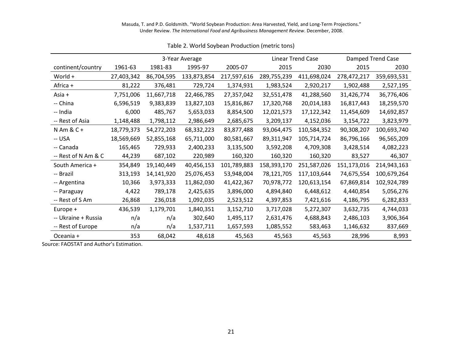|                     |            |            | 3-Year Average |             |             | <b>Linear Trend Case</b> |             | Damped Trend Case |
|---------------------|------------|------------|----------------|-------------|-------------|--------------------------|-------------|-------------------|
| continent/country   | 1961-63    | 1981-83    | 1995-97        | 2005-07     | 2015        | 2030                     | 2015        | 2030              |
| World +             | 27,403,342 | 86,704,595 | 133,873,854    | 217,597,616 | 289,755,239 | 411,698,024              | 278,472,217 | 359,693,531       |
| Africa +            | 81,222     | 376,481    | 729,724        | 1,374,931   | 1,983,524   | 2,920,217                | 1,902,488   | 2,527,195         |
| Asia +              | 7,751,006  | 11,667,718 | 22,466,785     | 27,357,042  | 32,551,478  | 41,288,560               | 31,426,774  | 36,776,406        |
| -- China            | 6,596,519  | 9,383,839  | 13,827,103     | 15,816,867  | 17,320,768  | 20,014,183               | 16,817,443  | 18,259,570        |
| -- India            | 6,000      | 485,767    | 5,653,033      | 8,854,500   | 12,021,573  | 17,122,342               | 11,454,609  | 14,692,857        |
| -- Rest of Asia     | 1,148,488  | 1,798,112  | 2,986,649      | 2,685,675   | 3,209,137   | 4,152,036                | 3,154,722   | 3,823,979         |
| $N$ Am & C +        | 18,779,373 | 54,272,203 | 68,332,223     | 83,877,488  | 93,064,475  | 110,584,352              | 90,308,207  | 100,693,740       |
| -- USA              | 18,569,669 | 52,855,168 | 65,711,000     | 80,581,667  | 89,311,947  | 105,714,724              | 86,796,166  | 96,565,209        |
| -- Canada           | 165,465    | 729,933    | 2,400,233      | 3,135,500   | 3,592,208   | 4,709,308                | 3,428,514   | 4,082,223         |
| -- Rest of N Am & C | 44,239     | 687,102    | 220,989        | 160,320     | 160,320     | 160,320                  | 83,527      | 46,307            |
| South America +     | 354,849    | 19,140,449 | 40,456,153     | 101,789,883 | 158,393,170 | 251,587,026              | 151,173,016 | 214,943,163       |
| -- Brazil           | 313,193    | 14,141,920 | 25,076,453     | 53,948,004  | 78,121,705  | 117,103,644              | 74,675,554  | 100,679,264       |
| -- Argentina        | 10,366     | 3,973,333  | 11,862,030     | 41,422,367  | 70,978,772  | 120,613,154              | 67,869,814  | 102,924,789       |
| -- Paraguay         | 4,422      | 789,178    | 2,425,635      | 3,896,000   | 4,894,840   | 6,448,612                | 4,440,854   | 5,056,276         |
| -- Rest of S Am     | 26,868     | 236,018    | 1,092,035      | 2,523,512   | 4,397,853   | 7,421,616                | 4,186,795   | 6,282,833         |
| Europe +            | 436,539    | 1,179,701  | 1,840,351      | 3,152,710   | 3,717,028   | 5,272,307                | 3,632,735   | 4,744,033         |
| -- Ukraine + Russia | n/a        | n/a        | 302,640        | 1,495,117   | 2,631,476   | 4,688,843                | 2,486,103   | 3,906,364         |
| -- Rest of Europe   | n/a        | n/a        | 1,537,711      | 1,657,593   | 1,085,552   | 583,463                  | 1,146,632   | 837,669           |
| Oceania +           | 353        | 68,042     | 48,618         | 45,563      | 45,563      | 45,563                   | 28,996      | 8,993             |

Table 2. World Soybean Production (metric tons)

Source: FAOSTAT and Author's Estimation.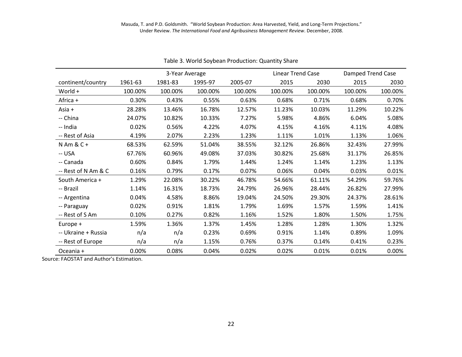|                     | 3-Year Average |         |         | <b>Linear Trend Case</b> |         | Damped Trend Case |         |         |
|---------------------|----------------|---------|---------|--------------------------|---------|-------------------|---------|---------|
| continent/country   | 1961-63        | 1981-83 | 1995-97 | 2005-07                  | 2015    | 2030              | 2015    | 2030    |
| World $+$           | 100.00%        | 100.00% | 100.00% | 100.00%                  | 100.00% | 100.00%           | 100.00% | 100.00% |
| Africa +            | 0.30%          | 0.43%   | 0.55%   | 0.63%                    | 0.68%   | 0.71%             | 0.68%   | 0.70%   |
| Asia +              | 28.28%         | 13.46%  | 16.78%  | 12.57%                   | 11.23%  | 10.03%            | 11.29%  | 10.22%  |
| -- China            | 24.07%         | 10.82%  | 10.33%  | 7.27%                    | 5.98%   | 4.86%             | 6.04%   | 5.08%   |
| -- India            | 0.02%          | 0.56%   | 4.22%   | 4.07%                    | 4.15%   | 4.16%             | 4.11%   | 4.08%   |
| -- Rest of Asia     | 4.19%          | 2.07%   | 2.23%   | 1.23%                    | 1.11%   | 1.01%             | 1.13%   | 1.06%   |
| $N$ Am & C +        | 68.53%         | 62.59%  | 51.04%  | 38.55%                   | 32.12%  | 26.86%            | 32.43%  | 27.99%  |
| -- USA              | 67.76%         | 60.96%  | 49.08%  | 37.03%                   | 30.82%  | 25.68%            | 31.17%  | 26.85%  |
| -- Canada           | 0.60%          | 0.84%   | 1.79%   | 1.44%                    | 1.24%   | 1.14%             | 1.23%   | 1.13%   |
| -- Rest of N Am & C | 0.16%          | 0.79%   | 0.17%   | 0.07%                    | 0.06%   | 0.04%             | 0.03%   | 0.01%   |
| South America +     | 1.29%          | 22.08%  | 30.22%  | 46.78%                   | 54.66%  | 61.11%            | 54.29%  | 59.76%  |
| -- Brazil           | 1.14%          | 16.31%  | 18.73%  | 24.79%                   | 26.96%  | 28.44%            | 26.82%  | 27.99%  |
| -- Argentina        | 0.04%          | 4.58%   | 8.86%   | 19.04%                   | 24.50%  | 29.30%            | 24.37%  | 28.61%  |
| -- Paraguay         | 0.02%          | 0.91%   | 1.81%   | 1.79%                    | 1.69%   | 1.57%             | 1.59%   | 1.41%   |
| -- Rest of S Am     | 0.10%          | 0.27%   | 0.82%   | 1.16%                    | 1.52%   | 1.80%             | 1.50%   | 1.75%   |
| Europe +            | 1.59%          | 1.36%   | 1.37%   | 1.45%                    | 1.28%   | 1.28%             | 1.30%   | 1.32%   |
| -- Ukraine + Russia | n/a            | n/a     | 0.23%   | 0.69%                    | 0.91%   | 1.14%             | 0.89%   | 1.09%   |
| -- Rest of Europe   | n/a            | n/a     | 1.15%   | 0.76%                    | 0.37%   | 0.14%             | 0.41%   | 0.23%   |
| Oceania +           | 0.00%          | 0.08%   | 0.04%   | 0.02%                    | 0.02%   | 0.01%             | 0.01%   | 0.00%   |

Table 3. World Soybean Production: Quantity Share

Source: FAOSTAT and Author's Estimation.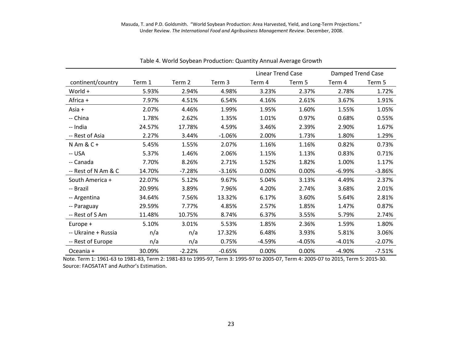|                     |        |          |          | <b>Linear Trend Case</b> |          | Damped Trend Case |          |
|---------------------|--------|----------|----------|--------------------------|----------|-------------------|----------|
| continent/country   | Term 1 | Term 2   | Term 3   | Term 4                   | Term 5   | Term 4            | Term 5   |
| World +             | 5.93%  | 2.94%    | 4.98%    | 3.23%                    | 2.37%    | 2.78%             | 1.72%    |
| Africa +            | 7.97%  | 4.51%    | 6.54%    | 4.16%                    | 2.61%    | 3.67%             | 1.91%    |
| Asia +              | 2.07%  | 4.46%    | 1.99%    | 1.95%                    | 1.60%    | 1.55%             | 1.05%    |
| -- China            | 1.78%  | 2.62%    | 1.35%    | 1.01%                    | 0.97%    | 0.68%             | 0.55%    |
| -- India            | 24.57% | 17.78%   | 4.59%    | 3.46%                    | 2.39%    | 2.90%             | 1.67%    |
| -- Rest of Asia     | 2.27%  | 3.44%    | $-1.06%$ | 2.00%                    | 1.73%    | 1.80%             | 1.29%    |
| $N$ Am & C +        | 5.45%  | 1.55%    | 2.07%    | 1.16%                    | 1.16%    | 0.82%             | 0.73%    |
| -- USA              | 5.37%  | 1.46%    | 2.06%    | 1.15%                    | 1.13%    | 0.83%             | 0.71%    |
| -- Canada           | 7.70%  | 8.26%    | 2.71%    | 1.52%                    | 1.82%    | 1.00%             | 1.17%    |
| -- Rest of N Am & C | 14.70% | $-7.28%$ | $-3.16%$ | 0.00%                    | 0.00%    | $-6.99%$          | $-3.86%$ |
| South America +     | 22.07% | 5.12%    | 9.67%    | 5.04%                    | 3.13%    | 4.49%             | 2.37%    |
| -- Brazil           | 20.99% | 3.89%    | 7.96%    | 4.20%                    | 2.74%    | 3.68%             | 2.01%    |
| -- Argentina        | 34.64% | 7.56%    | 13.32%   | 6.17%                    | 3.60%    | 5.64%             | 2.81%    |
| -- Paraguay         | 29.59% | 7.77%    | 4.85%    | 2.57%                    | 1.85%    | 1.47%             | 0.87%    |
| -- Rest of S Am     | 11.48% | 10.75%   | 8.74%    | 6.37%                    | 3.55%    | 5.79%             | 2.74%    |
| Europe +            | 5.10%  | 3.01%    | 5.53%    | 1.85%                    | 2.36%    | 1.59%             | 1.80%    |
| -- Ukraine + Russia | n/a    | n/a      | 17.32%   | 6.48%                    | 3.93%    | 5.81%             | 3.06%    |
| -- Rest of Europe   | n/a    | n/a      | 0.75%    | $-4.59%$                 | $-4.05%$ | $-4.01%$          | $-2.07%$ |
| Oceania +           | 30.09% | $-2.22%$ | $-0.65%$ | 0.00%                    | 0.00%    | $-4.90%$          | $-7.51%$ |

Table 4. World Soybean Production: Quantity Annual Average Growth

 Note. Term 1: 1961-63 to 1981-83, Term 2: 1981-83 to 1995-97, Term 3: 1995-97 to 2005-07, Term 4: 2005-07 to 2015, Term 5: 2015-30. Source: FAOSATAT and Author's Estimation.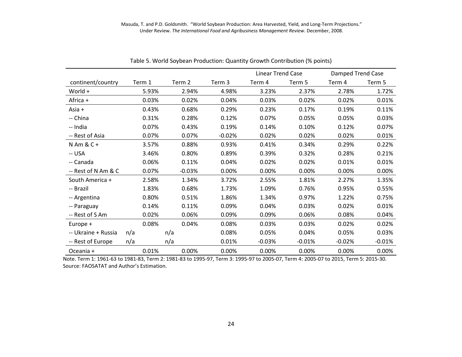|                     |     |        |          |        |          |          | <b>Linear Trend Case</b> |          | Damped Trend Case |
|---------------------|-----|--------|----------|--------|----------|----------|--------------------------|----------|-------------------|
| continent/country   |     | Term 1 | Term 2   | Term 3 |          | Term 4   | Term 5                   | Term 4   | Term 5            |
| World +             |     | 5.93%  | 2.94%    |        | 4.98%    | 3.23%    | 2.37%                    | 2.78%    | 1.72%             |
| Africa +            |     | 0.03%  | 0.02%    |        | 0.04%    | 0.03%    | 0.02%                    | 0.02%    | 0.01%             |
| Asia +              |     | 0.43%  | 0.68%    |        | 0.29%    | 0.23%    | 0.17%                    | 0.19%    | 0.11%             |
| -- China            |     | 0.31%  | 0.28%    |        | 0.12%    | 0.07%    | 0.05%                    | 0.05%    | 0.03%             |
| -- India            |     | 0.07%  | 0.43%    |        | 0.19%    | 0.14%    | 0.10%                    | 0.12%    | 0.07%             |
| -- Rest of Asia     |     | 0.07%  | 0.07%    |        | $-0.02%$ | 0.02%    | 0.02%                    | 0.02%    | 0.01%             |
| $N$ Am & C +        |     | 3.57%  | 0.88%    |        | 0.93%    | 0.41%    | 0.34%                    | 0.29%    | 0.22%             |
| -- USA              |     | 3.46%  | 0.80%    |        | 0.89%    | 0.39%    | 0.32%                    | 0.28%    | 0.21%             |
| -- Canada           |     | 0.06%  | 0.11%    |        | 0.04%    | 0.02%    | 0.02%                    | 0.01%    | 0.01%             |
| -- Rest of N Am & C |     | 0.07%  | $-0.03%$ |        | 0.00%    | 0.00%    | 0.00%                    | 0.00%    | 0.00%             |
| South America +     |     | 2.58%  | 1.34%    |        | 3.72%    | 2.55%    | 1.81%                    | 2.27%    | 1.35%             |
| -- Brazil           |     | 1.83%  | 0.68%    |        | 1.73%    | 1.09%    | 0.76%                    | 0.95%    | 0.55%             |
| -- Argentina        |     | 0.80%  | 0.51%    |        | 1.86%    | 1.34%    | 0.97%                    | 1.22%    | 0.75%             |
| -- Paraguay         |     | 0.14%  | 0.11%    |        | 0.09%    | 0.04%    | 0.03%                    | 0.02%    | 0.01%             |
| -- Rest of S Am     |     | 0.02%  | 0.06%    |        | 0.09%    | 0.09%    | 0.06%                    | 0.08%    | 0.04%             |
| Europe +            |     | 0.08%  | 0.04%    |        | 0.08%    | 0.03%    | 0.03%                    | 0.02%    | 0.02%             |
| -- Ukraine + Russia | n/a |        | n/a      |        | 0.08%    | 0.05%    | 0.04%                    | 0.05%    | 0.03%             |
| -- Rest of Europe   | n/a |        | n/a      |        | 0.01%    | $-0.03%$ | $-0.01%$                 | $-0.02%$ | $-0.01%$          |
| Oceania +           |     | 0.01%  | 0.00%    |        | 0.00%    | 0.00%    | 0.00%                    | 0.00%    | 0.00%             |

Table 5. World Soybean Production: Quantity Growth Contribution (% points)

 Note. Term 1: 1961-63 to 1981-83, Term 2: 1981-83 to 1995-97, Term 3: 1995-97 to 2005-07, Term 4: 2005-07 to 2015, Term 5: 2015-30. Source: FAOSATAT and Author's Estimation.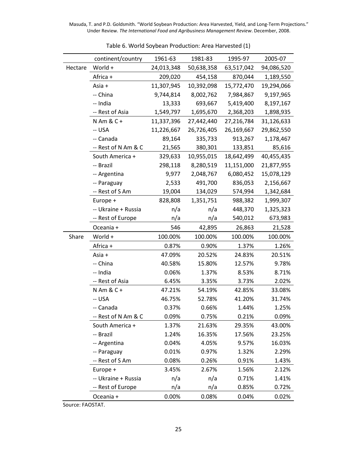|         | continent/country   | 1961-63    | 1981-83    | 1995-97    | 2005-07    |
|---------|---------------------|------------|------------|------------|------------|
| Hectare | World +             | 24,013,348 | 50,638,358 | 63,517,042 | 94,086,520 |
|         | Africa +            | 209,020    | 454,158    | 870,044    | 1,189,550  |
|         | Asia +              | 11,307,945 | 10,392,098 | 15,772,470 | 19,294,066 |
|         | -- China            | 9,744,814  | 8,002,762  | 7,984,867  | 9,197,965  |
|         | -- India            | 13,333     | 693,667    | 5,419,400  | 8,197,167  |
|         | -- Rest of Asia     | 1,549,797  | 1,695,670  | 2,368,203  | 1,898,935  |
|         | $N$ Am & C +        | 11,337,396 | 27,442,440 | 27,216,784 | 31,126,633 |
|         | -- USA              | 11,226,667 | 26,726,405 | 26,169,667 | 29,862,550 |
|         | -- Canada           | 89,164     | 335,733    | 913,267    | 1,178,467  |
|         | -- Rest of N Am & C | 21,565     | 380,301    | 133,851    | 85,616     |
|         | South America +     | 329,633    | 10,955,015 | 18,642,499 | 40,455,435 |
|         | -- Brazil           | 298,118    | 8,280,519  | 11,151,000 | 21,877,955 |
|         | -- Argentina        | 9,977      | 2,048,767  | 6,080,452  | 15,078,129 |
|         | -- Paraguay         | 2,533      | 491,700    | 836,053    | 2,156,667  |
|         | -- Rest of S Am     | 19,004     | 134,029    | 574,994    | 1,342,684  |
|         | Europe +            | 828,808    | 1,351,751  | 988,382    | 1,999,307  |
|         | -- Ukraine + Russia | n/a        | n/a        | 448,370    | 1,325,323  |
|         | -- Rest of Europe   | n/a        | n/a        | 540,012    | 673,983    |
|         | Oceania +           | 546        | 42,895     | 26,863     | 21,528     |
| Share   | World +             | 100.00%    | 100.00%    | 100.00%    | 100.00%    |
|         | Africa +            | 0.87%      | 0.90%      | 1.37%      | 1.26%      |
|         | Asia +              | 47.09%     | 20.52%     | 24.83%     | 20.51%     |
|         | -- China            | 40.58%     | 15.80%     | 12.57%     | 9.78%      |
|         | -- India            | 0.06%      | 1.37%      | 8.53%      | 8.71%      |
|         | -- Rest of Asia     | 6.45%      | 3.35%      | 3.73%      | 2.02%      |
|         | $N$ Am & C +        | 47.21%     | 54.19%     | 42.85%     | 33.08%     |
|         | -- USA              | 46.75%     | 52.78%     | 41.20%     | 31.74%     |
|         | -- Canada           | 0.37%      | 0.66%      | 1.44%      | 1.25%      |
|         | -- Rest of N Am & C | 0.09%      | 0.75%      | 0.21%      | 0.09%      |
|         | South America +     | 1.37%      | 21.63%     | 29.35%     | 43.00%     |
|         | -- Brazil           | 1.24%      | 16.35%     | 17.56%     | 23.25%     |
|         | -- Argentina        | 0.04%      | 4.05%      | 9.57%      | 16.03%     |
|         | -- Paraguay         | 0.01%      | 0.97%      | 1.32%      | 2.29%      |
|         | -- Rest of S Am     | 0.08%      | 0.26%      | 0.91%      | 1.43%      |
|         | Europe +            | 3.45%      | 2.67%      | 1.56%      | 2.12%      |
|         | -- Ukraine + Russia | n/a        | n/a        | 0.71%      | 1.41%      |
|         | -- Rest of Europe   | n/a        | n/a        | 0.85%      | 0.72%      |
|         | Oceania +           | 0.00%      | 0.08%      | 0.04%      | 0.02%      |

Table 6. World Soybean Production: Area Harvested (1)

Source: FAOSTAT.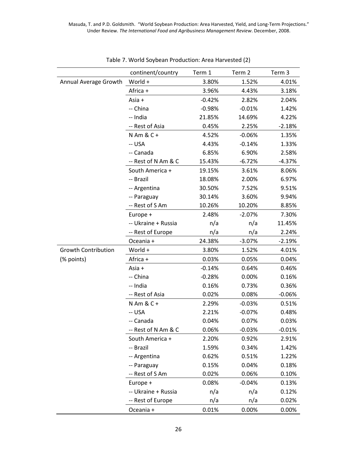|                            | continent/country   | Term 1   | Term 2   | Term 3   |
|----------------------------|---------------------|----------|----------|----------|
| Annual Average Growth      | World +             | 3.80%    | 1.52%    | 4.01%    |
|                            | Africa +            | 3.96%    | 4.43%    | 3.18%    |
|                            | Asia +              | $-0.42%$ | 2.82%    | 2.04%    |
|                            | -- China            | $-0.98%$ | $-0.01%$ | 1.42%    |
|                            | -- India            | 21.85%   | 14.69%   | 4.22%    |
|                            | -- Rest of Asia     | 0.45%    | 2.25%    | $-2.18%$ |
|                            | $N$ Am & C +        | 4.52%    | $-0.06%$ | 1.35%    |
|                            | -- USA              | 4.43%    | $-0.14%$ | 1.33%    |
|                            | -- Canada           | 6.85%    | 6.90%    | 2.58%    |
|                            | -- Rest of N Am & C | 15.43%   | $-6.72%$ | $-4.37%$ |
|                            | South America +     | 19.15%   | 3.61%    | 8.06%    |
|                            | -- Brazil           | 18.08%   | 2.00%    | 6.97%    |
|                            | -- Argentina        | 30.50%   | 7.52%    | 9.51%    |
|                            | -- Paraguay         | 30.14%   | 3.60%    | 9.94%    |
|                            | -- Rest of S Am     | 10.26%   | 10.20%   | 8.85%    |
|                            | Europe +            | 2.48%    | $-2.07%$ | 7.30%    |
|                            | -- Ukraine + Russia | n/a      | n/a      | 11.45%   |
|                            | -- Rest of Europe   | n/a      | n/a      | 2.24%    |
|                            | Oceania +           | 24.38%   | $-3.07%$ | $-2.19%$ |
| <b>Growth Contribution</b> | World +             | 3.80%    | 1.52%    | 4.01%    |
| (% points)                 | Africa +            | 0.03%    | 0.05%    | 0.04%    |
|                            | Asia +              | $-0.14%$ | 0.64%    | 0.46%    |
|                            | -- China            | $-0.28%$ | 0.00%    | 0.16%    |
|                            | -- India            | 0.16%    | 0.73%    | 0.36%    |
|                            | -- Rest of Asia     | 0.02%    | 0.08%    | $-0.06%$ |
|                            | $N$ Am & C +        | 2.29%    | $-0.03%$ | 0.51%    |
|                            | -- USA              | 2.21%    | $-0.07%$ | 0.48%    |
|                            | -- Canada           | 0.04%    | 0.07%    | 0.03%    |
|                            | -- Rest of N Am & C | 0.06%    | $-0.03%$ | $-0.01%$ |
|                            | South America +     | 2.20%    | 0.92%    | 2.91%    |
|                            | -- Brazil           | 1.59%    | 0.34%    | 1.42%    |
|                            | -- Argentina        | 0.62%    | 0.51%    | 1.22%    |
|                            | -- Paraguay         | 0.15%    | 0.04%    | 0.18%    |
|                            | -- Rest of S Am     | 0.02%    | 0.06%    | 0.10%    |
|                            | Europe +            | 0.08%    | $-0.04%$ | 0.13%    |
|                            | -- Ukraine + Russia | n/a      | n/a      | 0.12%    |
|                            | -- Rest of Europe   | n/a      | n/a      | 0.02%    |
|                            | Oceania +           | 0.01%    | 0.00%    | 0.00%    |

| Table 7. World Soybean Production: Area Harvested (2) |  |
|-------------------------------------------------------|--|
|                                                       |  |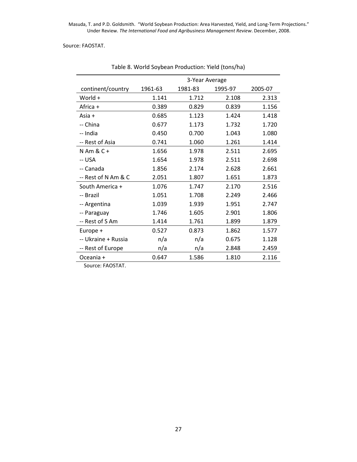#### Source: FAOSTAT.

|                     | 3-Year Average |         |         |         |  |
|---------------------|----------------|---------|---------|---------|--|
| continent/country   | 1961-63        | 1981-83 | 1995-97 | 2005-07 |  |
| World +             | 1.141          | 1.712   | 2.108   | 2.313   |  |
| Africa +            | 0.389          | 0.829   | 0.839   | 1.156   |  |
| Asia +              | 0.685          | 1.123   | 1.424   | 1.418   |  |
| -- China            | 0.677          | 1.173   | 1.732   | 1.720   |  |
| -- India            | 0.450          | 0.700   | 1.043   | 1.080   |  |
| -- Rest of Asia     | 0.741          | 1.060   | 1.261   | 1.414   |  |
| N Am & C +          | 1.656          | 1.978   | 2.511   | 2.695   |  |
| -- USA              | 1.654          | 1.978   | 2.511   | 2.698   |  |
| -- Canada           | 1.856          | 2.174   | 2.628   | 2.661   |  |
| -- Rest of N Am & C | 2.051          | 1.807   | 1.651   | 1.873   |  |
| South America +     | 1.076          | 1.747   | 2.170   | 2.516   |  |
| -- Brazil           | 1.051          | 1.708   | 2.249   | 2.466   |  |
| -- Argentina        | 1.039          | 1.939   | 1.951   | 2.747   |  |
| -- Paraguay         | 1.746          | 1.605   | 2.901   | 1.806   |  |
| -- Rest of S Am     | 1.414          | 1.761   | 1.899   | 1.879   |  |
| Europe +            | 0.527          | 0.873   | 1.862   | 1.577   |  |
| -- Ukraine + Russia | n/a            | n/a     | 0.675   | 1.128   |  |
| -- Rest of Europe   | n/a            | n/a     | 2.848   | 2.459   |  |
| Oceania +           | 0.647          | 1.586   | 1.810   | 2.116   |  |

Table 8. World Soybean Production: Yield (tons/ha)

Source: FAOSTAT.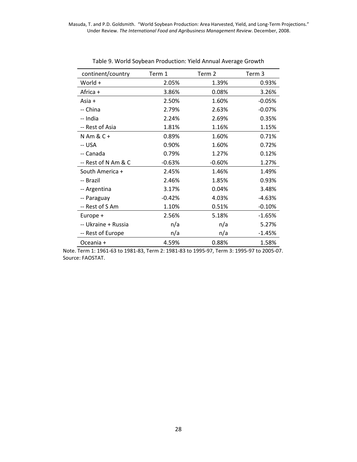| continent/country   | Term 1   | Term 2   | Term 3   |
|---------------------|----------|----------|----------|
| World +             | 2.05%    | 1.39%    | 0.93%    |
| Africa +            | 3.86%    | 0.08%    | 3.26%    |
| Asia +              | 2.50%    | 1.60%    | $-0.05%$ |
| -- China            | 2.79%    | 2.63%    | $-0.07%$ |
| -- India            | 2.24%    | 2.69%    | 0.35%    |
| -- Rest of Asia     | 1.81%    | 1.16%    | 1.15%    |
| $N$ Am & C +        | 0.89%    | 1.60%    | 0.71%    |
| -- USA              | 0.90%    | 1.60%    | 0.72%    |
| -- Canada           | 0.79%    | 1.27%    | 0.12%    |
| -- Rest of N Am & C | $-0.63%$ | $-0.60%$ | 1.27%    |
| South America +     | 2.45%    | 1.46%    | 1.49%    |
| -- Brazil           | 2.46%    | 1.85%    | 0.93%    |
| -- Argentina        | 3.17%    | 0.04%    | 3.48%    |
| -- Paraguay         | $-0.42%$ | 4.03%    | -4.63%   |
| -- Rest of S Am     | 1.10%    | 0.51%    | $-0.10%$ |
| Europe +            | 2.56%    | 5.18%    | $-1.65%$ |
| -- Ukraine + Russia | n/a      | n/a      | 5.27%    |
| -- Rest of Europe   | n/a      | n/a      | $-1.45%$ |
| Oceania +           | 4.59%    | 0.88%    | 1.58%    |

Table 9. World Soybean Production: Yield Annual Average Growth

 Note. Term 1: 1961-63 to 1981-83, Term 2: 1981-83 to 1995-97, Term 3: 1995-97 to 2005-07. Source: FAOSTAT.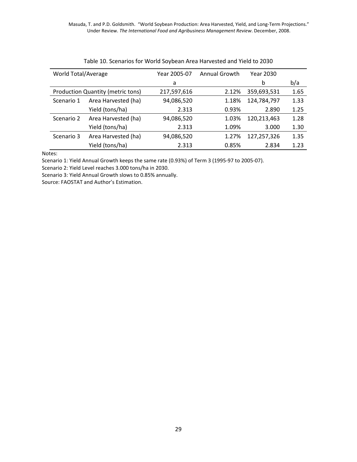| World Total/Average |                                          | Year 2005-07 | Annual Growth | Year 2030   |      |
|---------------------|------------------------------------------|--------------|---------------|-------------|------|
|                     |                                          | a            |               | b           | b/a  |
|                     | <b>Production Quantity (metric tons)</b> | 217,597,616  | 2.12%         | 359,693,531 | 1.65 |
| Scenario 1          | Area Harvested (ha)                      | 94,086,520   | 1.18%         | 124,784,797 | 1.33 |
|                     | Yield (tons/ha)                          | 2.313        | 0.93%         | 2.890       | 1.25 |
| Scenario 2          | Area Harvested (ha)                      | 94,086,520   | 1.03%         | 120,213,463 | 1.28 |
|                     | Yield (tons/ha)                          | 2.313        | 1.09%         | 3.000       | 1.30 |
| Scenario 3          | Area Harvested (ha)                      | 94,086,520   | 1.27%         | 127,257,326 | 1.35 |
|                     | Yield (tons/ha)                          | 2.313        | 0.85%         | 2.834       | 1.23 |

|  | Table 10. Scenarios for World Soybean Area Harvested and Yield to 2030 |  |  |  |
|--|------------------------------------------------------------------------|--|--|--|
|--|------------------------------------------------------------------------|--|--|--|

Notes:

Scenario 1: Yield Annual Growth keeps the same rate (0.93%) of Term 3 (1995-97 to 2005-07).

Scenario 2: Yield Level reaches 3.000 tons/ha in 2030.

Scenario 3: Yield Annual Growth slows to 0.85% annually.

Source: FAOSTAT and Author's Estimation.